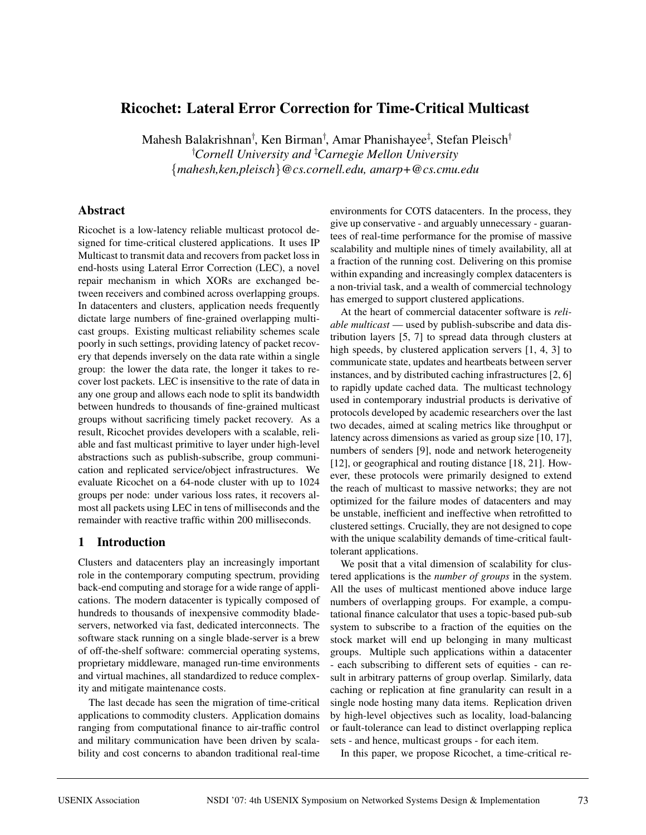# **Ricochet: Lateral Error Correction for Time-Critical Multicast**

Mahesh Balakrishnan<sup>†</sup>, Ken Birman<sup>†</sup>, Amar Phanishavee<sup>‡</sup>, Stefan Pleisch<sup>†</sup> † *Cornell University and* ‡ *Carnegie Mellon University* {*mahesh,ken,pleisch*}*@cs.cornell.edu, amarp+@cs.cmu.edu*

## **Abstract**

Ricochet is a low-latency reliable multicast protocol designed for time-critical clustered applications. It uses IP Multicast to transmit data and recovers from packet loss in end-hosts using Lateral Error Correction (LEC), a novel repair mechanism in which XORs are exchanged between receivers and combined across overlapping groups. In datacenters and clusters, application needs frequently dictate large numbers of fine-grained overlapping multicast groups. Existing multicast reliability schemes scale poorly in such settings, providing latency of packet recovery that depends inversely on the data rate within a single group: the lower the data rate, the longer it takes to recover lost packets. LEC is insensitive to the rate of data in any one group and allows each node to split its bandwidth between hundreds to thousands of fine-grained multicast groups without sacrificing timely packet recovery. As a result, Ricochet provides developers with a scalable, reliable and fast multicast primitive to layer under high-level abstractions such as publish-subscribe, group communication and replicated service/object infrastructures. We evaluate Ricochet on a 64-node cluster with up to 1024 groups per node: under various loss rates, it recovers almost all packets using LEC in tens of milliseconds and the remainder with reactive traffic within 200 milliseconds.

### **1 Introduction**

Clusters and datacenters play an increasingly important role in the contemporary computing spectrum, providing back-end computing and storage for a wide range of applications. The modern datacenter is typically composed of hundreds to thousands of inexpensive commodity bladeservers, networked via fast, dedicated interconnects. The software stack running on a single blade-server is a brew of off-the-shelf software: commercial operating systems, proprietary middleware, managed run-time environments and virtual machines, all standardized to reduce complexity and mitigate maintenance costs.

The last decade has seen the migration of time-critical applications to commodity clusters. Application domains ranging from computational finance to air-traffic control and military communication have been driven by scalability and cost concerns to abandon traditional real-time environments for COTS datacenters. In the process, they give up conservative - and arguably unnecessary - guarantees of real-time performance for the promise of massive scalability and multiple nines of timely availability, all at a fraction of the running cost. Delivering on this promise within expanding and increasingly complex datacenters is a non-trivial task, and a wealth of commercial technology has emerged to support clustered applications.

At the heart of commercial datacenter software is *reliable multicast* — used by publish-subscribe and data distribution layers [5, 7] to spread data through clusters at high speeds, by clustered application servers [1, 4, 3] to communicate state, updates and heartbeats between server instances, and by distributed caching infrastructures [2, 6] to rapidly update cached data. The multicast technology used in contemporary industrial products is derivative of protocols developed by academic researchers over the last two decades, aimed at scaling metrics like throughput or latency across dimensions as varied as group size [10, 17], numbers of senders [9], node and network heterogeneity [12], or geographical and routing distance [18, 21]. However, these protocols were primarily designed to extend the reach of multicast to massive networks; they are not optimized for the failure modes of datacenters and may be unstable, inefficient and ineffective when retrofitted to clustered settings. Crucially, they are not designed to cope with the unique scalability demands of time-critical faulttolerant applications.

We posit that a vital dimension of scalability for clustered applications is the *number of groups* in the system. All the uses of multicast mentioned above induce large numbers of overlapping groups. For example, a computational finance calculator that uses a topic-based pub-sub system to subscribe to a fraction of the equities on the stock market will end up belonging in many multicast groups. Multiple such applications within a datacenter - each subscribing to different sets of equities - can result in arbitrary patterns of group overlap. Similarly, data caching or replication at fine granularity can result in a single node hosting many data items. Replication driven by high-level objectives such as locality, load-balancing or fault-tolerance can lead to distinct overlapping replica sets - and hence, multicast groups - for each item.

In this paper, we propose Ricochet, a time-critical re-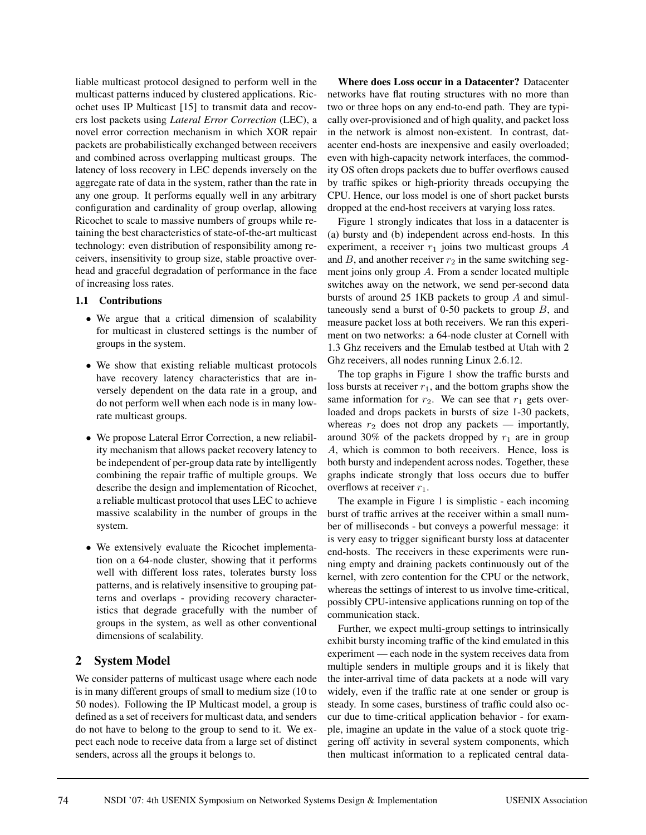liable multicast protocol designed to perform well in the multicast patterns induced by clustered applications. Ricochet uses IP Multicast [15] to transmit data and recovers lost packets using *Lateral Error Correction* (LEC), a novel error correction mechanism in which XOR repair packets are probabilistically exchanged between receivers and combined across overlapping multicast groups. The latency of loss recovery in LEC depends inversely on the aggregate rate of data in the system, rather than the rate in any one group. It performs equally well in any arbitrary configuration and cardinality of group overlap, allowing Ricochet to scale to massive numbers of groups while retaining the best characteristics of state-of-the-art multicast technology: even distribution of responsibility among receivers, insensitivity to group size, stable proactive overhead and graceful degradation of performance in the face of increasing loss rates.

### **1.1 Contributions**

- We argue that a critical dimension of scalability for multicast in clustered settings is the number of groups in the system.
- We show that existing reliable multicast protocols have recovery latency characteristics that are inversely dependent on the data rate in a group, and do not perform well when each node is in many lowrate multicast groups.
- We propose Lateral Error Correction, a new reliability mechanism that allows packet recovery latency to be independent of per-group data rate by intelligently combining the repair traffic of multiple groups. We describe the design and implementation of Ricochet, a reliable multicast protocol that uses LEC to achieve massive scalability in the number of groups in the system.
- We extensively evaluate the Ricochet implementation on a 64-node cluster, showing that it performs well with different loss rates, tolerates bursty loss patterns, and is relatively insensitive to grouping patterns and overlaps - providing recovery characteristics that degrade gracefully with the number of groups in the system, as well as other conventional dimensions of scalability.

# **2 System Model**

We consider patterns of multicast usage where each node is in many different groups of small to medium size (10 to 50 nodes). Following the IP Multicast model, a group is defined as a set of receivers for multicast data, and senders do not have to belong to the group to send to it. We expect each node to receive data from a large set of distinct senders, across all the groups it belongs to.

**Where does Loss occur in a Datacenter?** Datacenter networks have flat routing structures with no more than two or three hops on any end-to-end path. They are typically over-provisioned and of high quality, and packet loss in the network is almost non-existent. In contrast, datacenter end-hosts are inexpensive and easily overloaded; even with high-capacity network interfaces, the commodity OS often drops packets due to buffer overflows caused by traffic spikes or high-priority threads occupying the CPU. Hence, our loss model is one of short packet bursts dropped at the end-host receivers at varying loss rates.

Figure 1 strongly indicates that loss in a datacenter is (a) bursty and (b) independent across end-hosts. In this experiment, a receiver  $r_1$  joins two multicast groups A and  $B$ , and another receiver  $r_2$  in the same switching segment joins only group A. From a sender located multiple switches away on the network, we send per-second data bursts of around 25 1KB packets to group A and simultaneously send a burst of 0-50 packets to group  $B$ , and measure packet loss at both receivers. We ran this experiment on two networks: a 64-node cluster at Cornell with 1.3 Ghz receivers and the Emulab testbed at Utah with 2 Ghz receivers, all nodes running Linux 2.6.12.

The top graphs in Figure 1 show the traffic bursts and loss bursts at receiver  $r_1$ , and the bottom graphs show the same information for  $r_2$ . We can see that  $r_1$  gets overloaded and drops packets in bursts of size 1-30 packets, whereas  $r_2$  does not drop any packets — importantly, around 30% of the packets dropped by  $r_1$  are in group A, which is common to both receivers. Hence, loss is both bursty and independent across nodes. Together, these graphs indicate strongly that loss occurs due to buffer overflows at receiver  $r_1$ .

The example in Figure 1 is simplistic - each incoming burst of traffic arrives at the receiver within a small number of milliseconds - but conveys a powerful message: it is very easy to trigger significant bursty loss at datacenter end-hosts. The receivers in these experiments were running empty and draining packets continuously out of the kernel, with zero contention for the CPU or the network, whereas the settings of interest to us involve time-critical, possibly CPU-intensive applications running on top of the communication stack.

Further, we expect multi-group settings to intrinsically exhibit bursty incoming traffic of the kind emulated in this experiment — each node in the system receives data from multiple senders in multiple groups and it is likely that the inter-arrival time of data packets at a node will vary widely, even if the traffic rate at one sender or group is steady. In some cases, burstiness of traffic could also occur due to time-critical application behavior - for example, imagine an update in the value of a stock quote triggering off activity in several system components, which then multicast information to a replicated central data-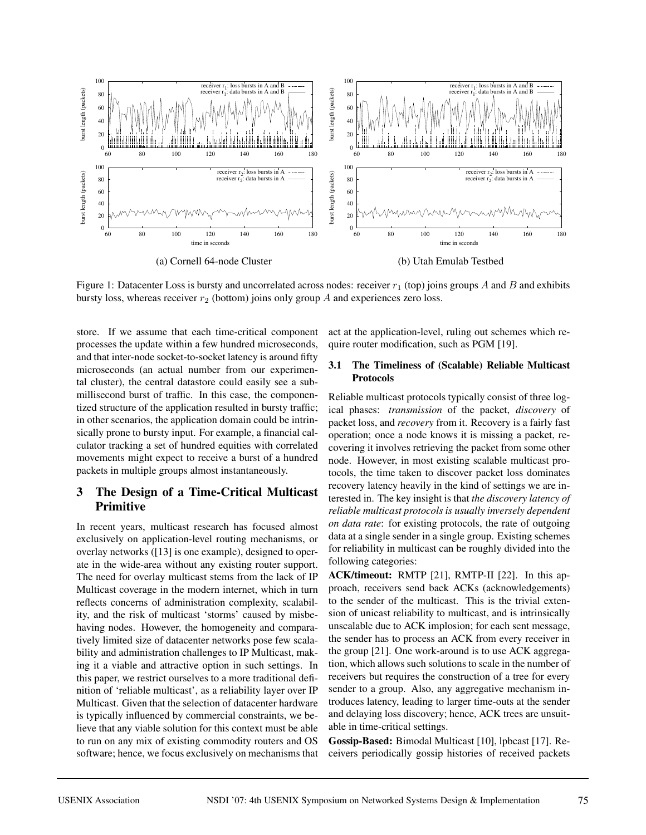

Figure 1: Datacenter Loss is bursty and uncorrelated across nodes: receiver  $r_1$  (top) joins groups A and B and exhibits bursty loss, whereas receiver  $r_2$  (bottom) joins only group A and experiences zero loss.

store. If we assume that each time-critical component processes the update within a few hundred microseconds, and that inter-node socket-to-socket latency is around fifty microseconds (an actual number from our experimental cluster), the central datastore could easily see a submillisecond burst of traffic. In this case, the componentized structure of the application resulted in bursty traffic; in other scenarios, the application domain could be intrinsically prone to bursty input. For example, a financial calculator tracking a set of hundred equities with correlated movements might expect to receive a burst of a hundred packets in multiple groups almost instantaneously.

# **3 The Design of a Time-Critical Multicast Primitive**

In recent years, multicast research has focused almost exclusively on application-level routing mechanisms, or overlay networks ([13] is one example), designed to operate in the wide-area without any existing router support. The need for overlay multicast stems from the lack of IP Multicast coverage in the modern internet, which in turn reflects concerns of administration complexity, scalability, and the risk of multicast 'storms' caused by misbehaving nodes. However, the homogeneity and comparatively limited size of datacenter networks pose few scalability and administration challenges to IP Multicast, making it a viable and attractive option in such settings. In this paper, we restrict ourselves to a more traditional definition of 'reliable multicast', as a reliability layer over IP Multicast. Given that the selection of datacenter hardware is typically influenced by commercial constraints, we believe that any viable solution for this context must be able to run on any mix of existing commodity routers and OS software; hence, we focus exclusively on mechanisms that act at the application-level, ruling out schemes which require router modification, such as PGM [19].

### **3.1 The Timeliness of (Scalable) Reliable Multicast Protocols**

Reliable multicast protocols typically consist of three logical phases: *transmission* of the packet, *discovery* of packet loss, and *recovery* from it. Recovery is a fairly fast operation; once a node knows it is missing a packet, recovering it involves retrieving the packet from some other node. However, in most existing scalable multicast protocols, the time taken to discover packet loss dominates recovery latency heavily in the kind of settings we are interested in. The key insight is that *the discovery latency of reliable multicast protocols is usually inversely dependent on data rate*: for existing protocols, the rate of outgoing data at a single sender in a single group. Existing schemes for reliability in multicast can be roughly divided into the following categories:

**ACK/timeout:** RMTP [21], RMTP-II [22]. In this approach, receivers send back ACKs (acknowledgements) to the sender of the multicast. This is the trivial extension of unicast reliability to multicast, and is intrinsically unscalable due to ACK implosion; for each sent message, the sender has to process an ACK from every receiver in the group [21]. One work-around is to use ACK aggregation, which allows such solutions to scale in the number of receivers but requires the construction of a tree for every sender to a group. Also, any aggregative mechanism introduces latency, leading to larger time-outs at the sender and delaying loss discovery; hence, ACK trees are unsuitable in time-critical settings.

**Gossip-Based:** Bimodal Multicast [10], lpbcast [17]. Receivers periodically gossip histories of received packets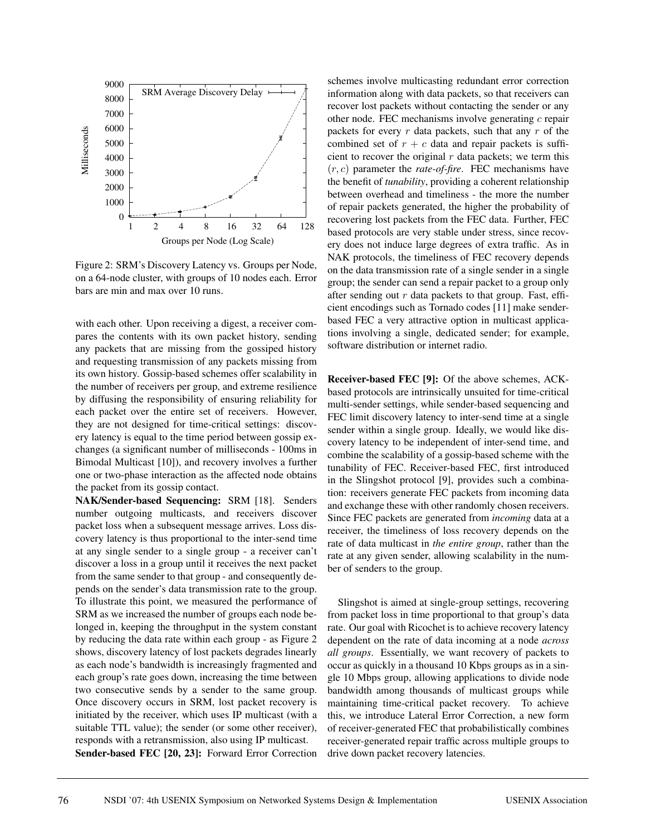

Figure 2: SRM's Discovery Latency vs. Groups per Node, on a 64-node cluster, with groups of 10 nodes each. Error bars are min and max over 10 runs.

with each other. Upon receiving a digest, a receiver compares the contents with its own packet history, sending any packets that are missing from the gossiped history and requesting transmission of any packets missing from its own history. Gossip-based schemes offer scalability in the number of receivers per group, and extreme resilience by diffusing the responsibility of ensuring reliability for each packet over the entire set of receivers. However, they are not designed for time-critical settings: discovery latency is equal to the time period between gossip exchanges (a significant number of milliseconds - 100ms in Bimodal Multicast [10]), and recovery involves a further one or two-phase interaction as the affected node obtains the packet from its gossip contact.

**NAK/Sender-based Sequencing:** SRM [18]. Senders number outgoing multicasts, and receivers discover packet loss when a subsequent message arrives. Loss discovery latency is thus proportional to the inter-send time at any single sender to a single group - a receiver can't discover a loss in a group until it receives the next packet from the same sender to that group - and consequently depends on the sender's data transmission rate to the group. To illustrate this point, we measured the performance of SRM as we increased the number of groups each node belonged in, keeping the throughput in the system constant by reducing the data rate within each group - as Figure 2 shows, discovery latency of lost packets degrades linearly as each node's bandwidth is increasingly fragmented and each group's rate goes down, increasing the time between two consecutive sends by a sender to the same group. Once discovery occurs in SRM, lost packet recovery is initiated by the receiver, which uses IP multicast (with a suitable TTL value); the sender (or some other receiver), responds with a retransmission, also using IP multicast.

**Sender-based FEC [20, 23]:** Forward Error Correction

schemes involve multicasting redundant error correction information along with data packets, so that receivers can recover lost packets without contacting the sender or any other node. FEC mechanisms involve generating  $c$  repair packets for every  $r$  data packets, such that any  $r$  of the combined set of  $r + c$  data and repair packets is sufficient to recover the original  $r$  data packets; we term this (r, c) parameter the *rate-of-fire*. FEC mechanisms have the benefit of *tunability*, providing a coherent relationship between overhead and timeliness - the more the number of repair packets generated, the higher the probability of recovering lost packets from the FEC data. Further, FEC based protocols are very stable under stress, since recovery does not induce large degrees of extra traffic. As in NAK protocols, the timeliness of FEC recovery depends on the data transmission rate of a single sender in a single group; the sender can send a repair packet to a group only after sending out  $r$  data packets to that group. Fast, efficient encodings such as Tornado codes [11] make senderbased FEC a very attractive option in multicast applications involving a single, dedicated sender; for example, software distribution or internet radio.

**Receiver-based FEC [9]:** Of the above schemes, ACKbased protocols are intrinsically unsuited for time-critical multi-sender settings, while sender-based sequencing and FEC limit discovery latency to inter-send time at a single sender within a single group. Ideally, we would like discovery latency to be independent of inter-send time, and combine the scalability of a gossip-based scheme with the tunability of FEC. Receiver-based FEC, first introduced in the Slingshot protocol [9], provides such a combination: receivers generate FEC packets from incoming data and exchange these with other randomly chosen receivers. Since FEC packets are generated from *incoming* data at a receiver, the timeliness of loss recovery depends on the rate of data multicast in *the entire group*, rather than the rate at any given sender, allowing scalability in the number of senders to the group.

Slingshot is aimed at single-group settings, recovering from packet loss in time proportional to that group's data rate. Our goal with Ricochet is to achieve recovery latency dependent on the rate of data incoming at a node *across all groups*. Essentially, we want recovery of packets to occur as quickly in a thousand 10 Kbps groups as in a single 10 Mbps group, allowing applications to divide node bandwidth among thousands of multicast groups while maintaining time-critical packet recovery. To achieve this, we introduce Lateral Error Correction, a new form of receiver-generated FEC that probabilistically combines receiver-generated repair traffic across multiple groups to drive down packet recovery latencies.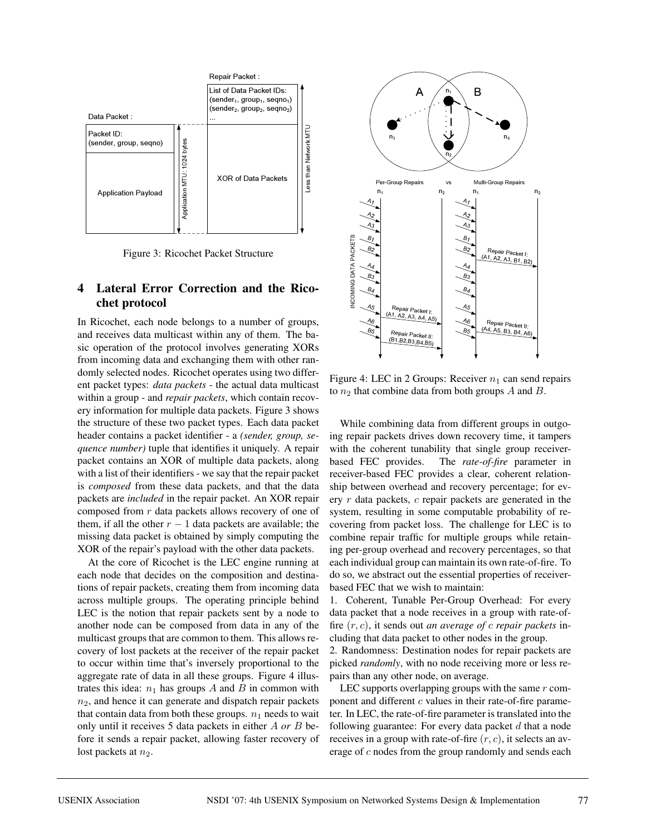

Figure 3: Ricochet Packet Structure

# **4 Lateral Error Correction and the Ricochet protocol**

In Ricochet, each node belongs to a number of groups, and receives data multicast within any of them. The basic operation of the protocol involves generating XORs from incoming data and exchanging them with other randomly selected nodes. Ricochet operates using two different packet types: *data packets* - the actual data multicast within a group - and *repair packets*, which contain recovery information for multiple data packets. Figure 3 shows the structure of these two packet types. Each data packet header contains a packet identifier - a *(sender, group, sequence number)* tuple that identifies it uniquely. A repair packet contains an XOR of multiple data packets, along with a list of their identifiers - we say that the repair packet is *composed* from these data packets, and that the data packets are *included* in the repair packet. An XOR repair composed from r data packets allows recovery of one of them, if all the other  $r - 1$  data packets are available; the missing data packet is obtained by simply computing the XOR of the repair's payload with the other data packets.

At the core of Ricochet is the LEC engine running at each node that decides on the composition and destinations of repair packets, creating them from incoming data across multiple groups. The operating principle behind LEC is the notion that repair packets sent by a node to another node can be composed from data in any of the multicast groups that are common to them. This allows recovery of lost packets at the receiver of the repair packet to occur within time that's inversely proportional to the aggregate rate of data in all these groups. Figure 4 illustrates this idea:  $n_1$  has groups A and B in common with  $n_2$ , and hence it can generate and dispatch repair packets that contain data from both these groups.  $n_1$  needs to wait only until it receives 5 data packets in either A *or* B before it sends a repair packet, allowing faster recovery of lost packets at  $n_2$ .



Figure 4: LEC in 2 Groups: Receiver  $n_1$  can send repairs to  $n_2$  that combine data from both groups A and B.

While combining data from different groups in outgoing repair packets drives down recovery time, it tampers with the coherent tunability that single group receiverbased FEC provides. The *rate-of-fire* parameter in receiver-based FEC provides a clear, coherent relationship between overhead and recovery percentage; for every  $r$  data packets,  $c$  repair packets are generated in the system, resulting in some computable probability of recovering from packet loss. The challenge for LEC is to combine repair traffic for multiple groups while retaining per-group overhead and recovery percentages, so that each individual group can maintain its own rate-of-fire. To do so, we abstract out the essential properties of receiverbased FEC that we wish to maintain:

1. Coherent, Tunable Per-Group Overhead: For every data packet that a node receives in a group with rate-offire (r, c), it sends out *an average of* c *repair packets* including that data packet to other nodes in the group.

2. Randomness: Destination nodes for repair packets are picked *randomly*, with no node receiving more or less repairs than any other node, on average.

LEC supports overlapping groups with the same  $r$  component and different  $c$  values in their rate-of-fire parameter. In LEC, the rate-of-fire parameter is translated into the following guarantee: For every data packet  $d$  that a node receives in a group with rate-of-fire  $(r, c)$ , it selects an average of c nodes from the group randomly and sends each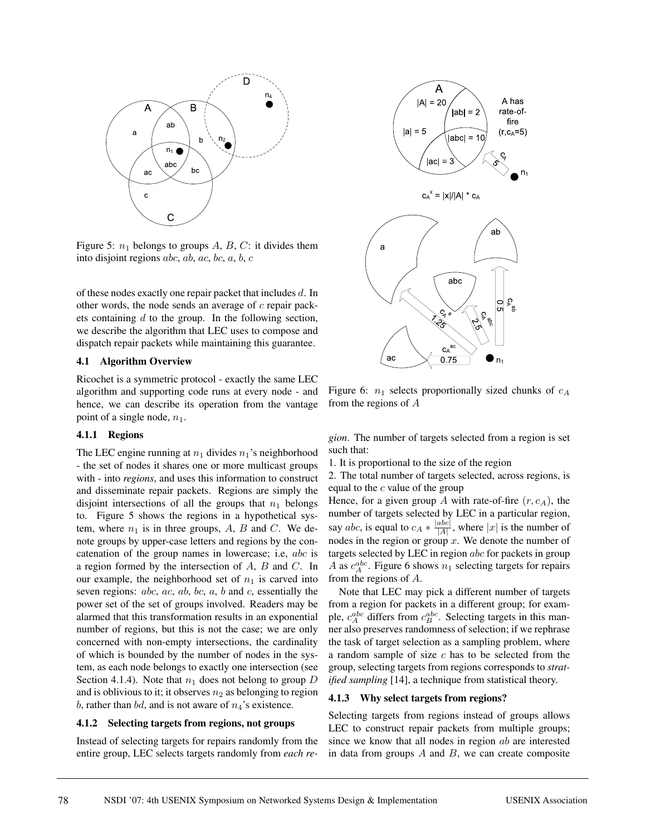

Figure 5:  $n_1$  belongs to groups A, B, C: it divides them into disjoint regions *abc*, *ab*, *ac*, *bc*, *a*, *b*, *c* 

of these nodes exactly one repair packet that includes d. In other words, the node sends an average of c repair packets containing  $d$  to the group. In the following section, we describe the algorithm that LEC uses to compose and dispatch repair packets while maintaining this guarantee.

#### **4.1 Algorithm Overview**

Ricochet is a symmetric protocol - exactly the same LEC algorithm and supporting code runs at every node - and hence, we can describe its operation from the vantage point of a single node,  $n_1$ .

#### **4.1.1 Regions**

The LEC engine running at  $n_1$  divides  $n_1$ 's neighborhood - the set of nodes it shares one or more multicast groups with - into *regions*, and uses this information to construct and disseminate repair packets. Regions are simply the disjoint intersections of all the groups that  $n_1$  belongs to. Figure 5 shows the regions in a hypothetical system, where  $n_1$  is in three groups, A, B and C. We denote groups by upper-case letters and regions by the concatenation of the group names in lowercase; i.e, abc is a region formed by the intersection of A, B and C. In our example, the neighborhood set of  $n_1$  is carved into seven regions: abc, ac, ab, bc, a, b and c, essentially the power set of the set of groups involved. Readers may be alarmed that this transformation results in an exponential number of regions, but this is not the case; we are only concerned with non-empty intersections, the cardinality of which is bounded by the number of nodes in the system, as each node belongs to exactly one intersection (see Section 4.1.4). Note that  $n_1$  does not belong to group D and is oblivious to it; it observes  $n_2$  as belonging to region b, rather than bd, and is not aware of  $n_4$ 's existence.

#### **4.1.2 Selecting targets from regions, not groups**

Instead of selecting targets for repairs randomly from the entire group, LEC selects targets randomly from *each re-*



Figure 6:  $n_1$  selects proportionally sized chunks of  $c_A$ from the regions of A

*gion*. The number of targets selected from a region is set such that:

1. It is proportional to the size of the region

2. The total number of targets selected, across regions, is equal to the  $c$  value of the group

Hence, for a given group A with rate-of-fire  $(r, c<sub>A</sub>)$ , the number of targets selected by LEC in a particular region, say *abc*, is equal to  $c_A * \frac{|abc|}{|A|}$ , where |x| is the number of nodes in the region or group x. We denote the number of targets selected by LEC in region abc for packets in group A as  $c_A^{abc}$ . Figure 6 shows  $n_1$  selecting targets for repairs from the regions of A.

Note that LEC may pick a different number of targets from a region for packets in a different group; for example,  $c_A^{abc}$  differs from  $c_B^{abc}$ . Selecting targets in this manner also preserves randomness of selection; if we rephrase the task of target selection as a sampling problem, where a random sample of size  $c$  has to be selected from the group, selecting targets from regions corresponds to *stratified sampling* [14], a technique from statistical theory.

#### **4.1.3 Why select targets from regions?**

Selecting targets from regions instead of groups allows LEC to construct repair packets from multiple groups; since we know that all nodes in region ab are interested in data from groups  $A$  and  $B$ , we can create composite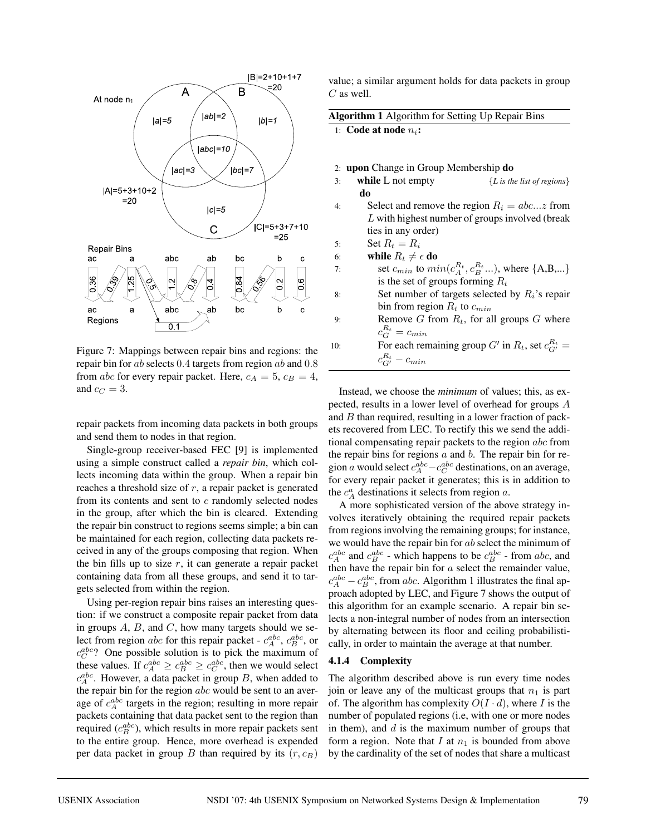

Figure 7: Mappings between repair bins and regions: the repair bin for ab selects 0.4 targets from region ab and 0.8 from abc for every repair packet. Here,  $c_A = 5$ ,  $c_B = 4$ , and  $c_C = 3$ .

repair packets from incoming data packets in both groups and send them to nodes in that region.

Single-group receiver-based FEC [9] is implemented using a simple construct called a *repair bin*, which collects incoming data within the group. When a repair bin reaches a threshold size of  $r$ , a repair packet is generated from its contents and sent to  $c$  randomly selected nodes in the group, after which the bin is cleared. Extending the repair bin construct to regions seems simple; a bin can be maintained for each region, collecting data packets received in any of the groups composing that region. When the bin fills up to size  $r$ , it can generate a repair packet containing data from all these groups, and send it to targets selected from within the region.

Using per-region repair bins raises an interesting question: if we construct a composite repair packet from data in groups  $A$ ,  $B$ , and  $C$ , how many targets should we select from region abc for this repair packet -  $c_A^{abc}$ ,  $c_B^{abc}$ , or  $c_C^{abc}$ ? One possible solution is to pick the maximum of these values. If  $c_A^{abc} \geq c_B^{abc} \geq c_C^{abc}$ , then we would select  $c_A^{abc}$ . However, a data packet in group B, when added to the repair bin for the region  $abc$  would be sent to an average of  $c_A^{abc}$  targets in the region; resulting in more repair packets containing that data packet sent to the region than required  $(c_B^{abc})$ , which results in more repair packets sent to the entire group. Hence, more overhead is expended per data packet in group B than required by its  $(r, c_B)$ 

value; a similar argument holds for data packets in group  $C$  as well.

| Algorithm 1 Algorithm for Setting Up Repair Bins |  |  |  |
|--------------------------------------------------|--|--|--|

1: **Code at node**  $n_i$ :

|  | 2: upon Change in Group Membership do |  |  |  |
|--|---------------------------------------|--|--|--|
|  |                                       |  |  |  |

- 3: **while** L not empty {*L is the list of regions*} **do**
- 4: Select and remove the region  $R_i = abc...z$  from L with highest number of groups involved (break ties in any order)
- 5: Set  $R_t = R_i$
- 6: **while**  $R_t \neq \epsilon$  **do**
- 7: set  $c_{min}$  to  $min(c_A^{R_t}, c_B^{R_t} ...)$ , where  ${A,B,...}$ is the set of groups forming  $R_t$
- 8: Set number of targets selected by  $R_i$ 's repair bin from region  $R_t$  to  $c_{min}$
- 9: Remove G from  $R_t$ , for all groups G where  $c_G^{R_t} = c_{min}$ 10: For each remaining group  $G'$  in  $R_t$ , set  $c_{G'}^{R_t} =$  $c_{G'}^{R_t} - c_{min}$

Instead, we choose the *minimum* of values; this, as expected, results in a lower level of overhead for groups A and B than required, resulting in a lower fraction of packets recovered from LEC. To rectify this we send the additional compensating repair packets to the region abc from the repair bins for regions  $a$  and  $b$ . The repair bin for region a would select  $c_A^{abc} - c_C^{abc}$  destinations, on an average, for every repair packet it generates; this is in addition to the  $c_A^a$  destinations it selects from region a.

A more sophisticated version of the above strategy involves iteratively obtaining the required repair packets from regions involving the remaining groups; for instance, we would have the repair bin for ab select the minimum of  $c_A^{abc}$  and  $c_B^{abc}$  - which happens to be  $c_B^{abc}$  - from abc, and then have the repair bin for  $a$  select the remainder value,  $c_A^{abc} - c_B^{abc}$ , from abc. Algorithm 1 illustrates the final approach adopted by LEC, and Figure 7 shows the output of this algorithm for an example scenario. A repair bin selects a non-integral number of nodes from an intersection by alternating between its floor and ceiling probabilistically, in order to maintain the average at that number.

#### **4.1.4 Complexity**

The algorithm described above is run every time nodes join or leave any of the multicast groups that  $n_1$  is part of. The algorithm has complexity  $O(I \cdot d)$ , where I is the number of populated regions (i.e, with one or more nodes in them), and  $d$  is the maximum number of groups that form a region. Note that I at  $n_1$  is bounded from above by the cardinality of the set of nodes that share a multicast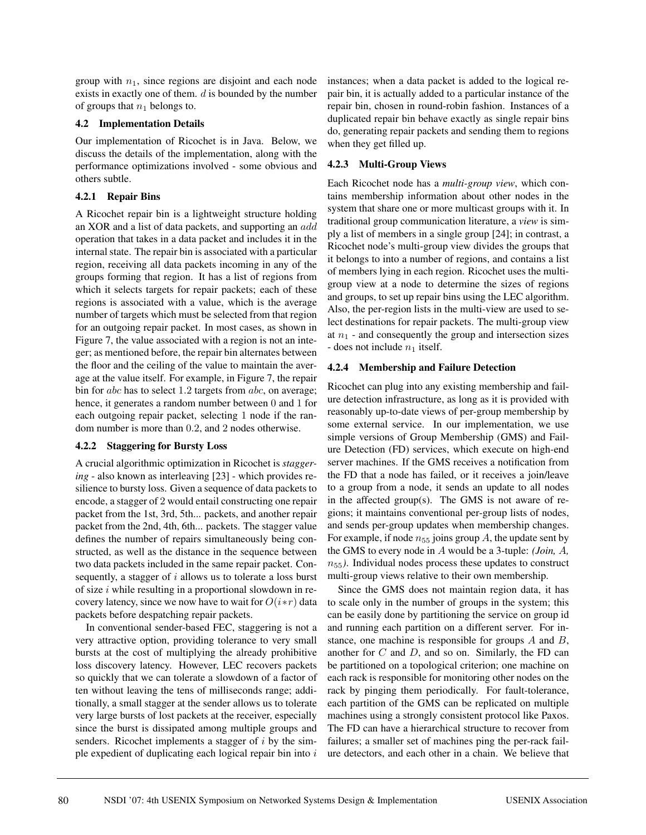group with  $n_1$ , since regions are disjoint and each node exists in exactly one of them.  $d$  is bounded by the number of groups that  $n_1$  belongs to.

### **4.2 Implementation Details**

Our implementation of Ricochet is in Java. Below, we discuss the details of the implementation, along with the performance optimizations involved - some obvious and others subtle.

### **4.2.1 Repair Bins**

A Ricochet repair bin is a lightweight structure holding an XOR and a list of data packets, and supporting an add operation that takes in a data packet and includes it in the internal state. The repair bin is associated with a particular region, receiving all data packets incoming in any of the groups forming that region. It has a list of regions from which it selects targets for repair packets; each of these regions is associated with a value, which is the average number of targets which must be selected from that region for an outgoing repair packet. In most cases, as shown in Figure 7, the value associated with a region is not an integer; as mentioned before, the repair bin alternates between the floor and the ceiling of the value to maintain the average at the value itself. For example, in Figure 7, the repair bin for *abc* has to select 1.2 targets from *abc*, on average; hence, it generates a random number between 0 and 1 for each outgoing repair packet, selecting 1 node if the random number is more than 0.2, and 2 nodes otherwise.

#### **4.2.2 Staggering for Bursty Loss**

A crucial algorithmic optimization in Ricochet is *staggering* - also known as interleaving [23] - which provides resilience to bursty loss. Given a sequence of data packets to encode, a stagger of 2 would entail constructing one repair packet from the 1st, 3rd, 5th... packets, and another repair packet from the 2nd, 4th, 6th... packets. The stagger value defines the number of repairs simultaneously being constructed, as well as the distance in the sequence between two data packets included in the same repair packet. Consequently, a stagger of  $i$  allows us to tolerate a loss burst of size  $i$  while resulting in a proportional slowdown in recovery latency, since we now have to wait for  $O(i*r)$  data packets before despatching repair packets.

In conventional sender-based FEC, staggering is not a very attractive option, providing tolerance to very small bursts at the cost of multiplying the already prohibitive loss discovery latency. However, LEC recovers packets so quickly that we can tolerate a slowdown of a factor of ten without leaving the tens of milliseconds range; additionally, a small stagger at the sender allows us to tolerate very large bursts of lost packets at the receiver, especially since the burst is dissipated among multiple groups and senders. Ricochet implements a stagger of  $i$  by the simple expedient of duplicating each logical repair bin into  $i$ 

instances; when a data packet is added to the logical repair bin, it is actually added to a particular instance of the repair bin, chosen in round-robin fashion. Instances of a duplicated repair bin behave exactly as single repair bins do, generating repair packets and sending them to regions when they get filled up.

### **4.2.3 Multi-Group Views**

Each Ricochet node has a *multi-group view*, which contains membership information about other nodes in the system that share one or more multicast groups with it. In traditional group communication literature, a *view* is simply a list of members in a single group [24]; in contrast, a Ricochet node's multi-group view divides the groups that it belongs to into a number of regions, and contains a list of members lying in each region. Ricochet uses the multigroup view at a node to determine the sizes of regions and groups, to set up repair bins using the LEC algorithm. Also, the per-region lists in the multi-view are used to select destinations for repair packets. The multi-group view at  $n_1$  - and consequently the group and intersection sizes - does not include  $n_1$  itself.

### **4.2.4 Membership and Failure Detection**

Ricochet can plug into any existing membership and failure detection infrastructure, as long as it is provided with reasonably up-to-date views of per-group membership by some external service. In our implementation, we use simple versions of Group Membership (GMS) and Failure Detection (FD) services, which execute on high-end server machines. If the GMS receives a notification from the FD that a node has failed, or it receives a join/leave to a group from a node, it sends an update to all nodes in the affected group(s). The GMS is not aware of regions; it maintains conventional per-group lists of nodes, and sends per-group updates when membership changes. For example, if node  $n_{55}$  joins group A, the update sent by the GMS to every node in A would be a 3-tuple: *(Join,* A*,*  $n_{55}$ ). Individual nodes process these updates to construct multi-group views relative to their own membership.

Since the GMS does not maintain region data, it has to scale only in the number of groups in the system; this can be easily done by partitioning the service on group id and running each partition on a different server. For instance, one machine is responsible for groups  $A$  and  $B$ , another for  $C$  and  $D$ , and so on. Similarly, the FD can be partitioned on a topological criterion; one machine on each rack is responsible for monitoring other nodes on the rack by pinging them periodically. For fault-tolerance, each partition of the GMS can be replicated on multiple machines using a strongly consistent protocol like Paxos. The FD can have a hierarchical structure to recover from failures; a smaller set of machines ping the per-rack failure detectors, and each other in a chain. We believe that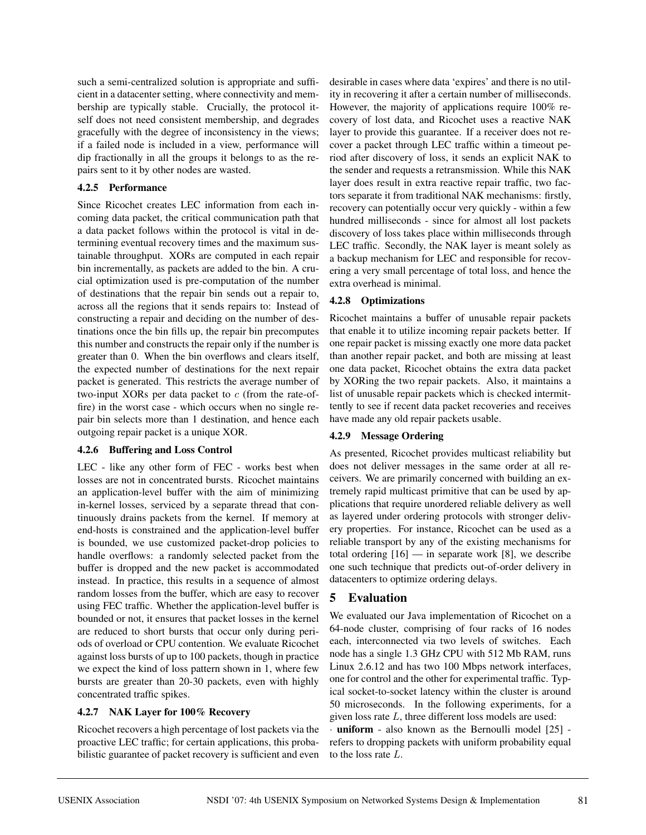such a semi-centralized solution is appropriate and sufficient in a datacenter setting, where connectivity and membership are typically stable. Crucially, the protocol itself does not need consistent membership, and degrades gracefully with the degree of inconsistency in the views; if a failed node is included in a view, performance will dip fractionally in all the groups it belongs to as the repairs sent to it by other nodes are wasted.

### **4.2.5 Performance**

Since Ricochet creates LEC information from each incoming data packet, the critical communication path that a data packet follows within the protocol is vital in determining eventual recovery times and the maximum sustainable throughput. XORs are computed in each repair bin incrementally, as packets are added to the bin. A crucial optimization used is pre-computation of the number of destinations that the repair bin sends out a repair to, across all the regions that it sends repairs to: Instead of constructing a repair and deciding on the number of destinations once the bin fills up, the repair bin precomputes this number and constructs the repair only if the number is greater than 0. When the bin overflows and clears itself, the expected number of destinations for the next repair packet is generated. This restricts the average number of two-input XORs per data packet to  $c$  (from the rate-offire) in the worst case - which occurs when no single repair bin selects more than 1 destination, and hence each outgoing repair packet is a unique XOR.

# **4.2.6 Buffering and Loss Control**

LEC - like any other form of FEC - works best when losses are not in concentrated bursts. Ricochet maintains an application-level buffer with the aim of minimizing in-kernel losses, serviced by a separate thread that continuously drains packets from the kernel. If memory at end-hosts is constrained and the application-level buffer is bounded, we use customized packet-drop policies to handle overflows: a randomly selected packet from the buffer is dropped and the new packet is accommodated instead. In practice, this results in a sequence of almost random losses from the buffer, which are easy to recover using FEC traffic. Whether the application-level buffer is bounded or not, it ensures that packet losses in the kernel are reduced to short bursts that occur only during periods of overload or CPU contention. We evaluate Ricochet against loss bursts of up to 100 packets, though in practice we expect the kind of loss pattern shown in 1, where few bursts are greater than 20-30 packets, even with highly concentrated traffic spikes.

# **4.2.7 NAK Layer for 100% Recovery**

Ricochet recovers a high percentage of lost packets via the proactive LEC traffic; for certain applications, this probabilistic guarantee of packet recovery is sufficient and even desirable in cases where data 'expires' and there is no utility in recovering it after a certain number of milliseconds. However, the majority of applications require 100% recovery of lost data, and Ricochet uses a reactive NAK layer to provide this guarantee. If a receiver does not recover a packet through LEC traffic within a timeout period after discovery of loss, it sends an explicit NAK to the sender and requests a retransmission. While this NAK layer does result in extra reactive repair traffic, two factors separate it from traditional NAK mechanisms: firstly, recovery can potentially occur very quickly - within a few hundred milliseconds - since for almost all lost packets discovery of loss takes place within milliseconds through LEC traffic. Secondly, the NAK layer is meant solely as a backup mechanism for LEC and responsible for recovering a very small percentage of total loss, and hence the extra overhead is minimal.

# **4.2.8 Optimizations**

Ricochet maintains a buffer of unusable repair packets that enable it to utilize incoming repair packets better. If one repair packet is missing exactly one more data packet than another repair packet, and both are missing at least one data packet, Ricochet obtains the extra data packet by XORing the two repair packets. Also, it maintains a list of unusable repair packets which is checked intermittently to see if recent data packet recoveries and receives have made any old repair packets usable.

### **4.2.9 Message Ordering**

As presented, Ricochet provides multicast reliability but does not deliver messages in the same order at all receivers. We are primarily concerned with building an extremely rapid multicast primitive that can be used by applications that require unordered reliable delivery as well as layered under ordering protocols with stronger delivery properties. For instance, Ricochet can be used as a reliable transport by any of the existing mechanisms for total ordering [16] — in separate work [8], we describe one such technique that predicts out-of-order delivery in datacenters to optimize ordering delays.

# **5 Evaluation**

We evaluated our Java implementation of Ricochet on a 64-node cluster, comprising of four racks of 16 nodes each, interconnected via two levels of switches. Each node has a single 1.3 GHz CPU with 512 Mb RAM, runs Linux 2.6.12 and has two 100 Mbps network interfaces, one for control and the other for experimental traffic. Typical socket-to-socket latency within the cluster is around 50 microseconds. In the following experiments, for a given loss rate L, three different loss models are used:

**uniform** - also known as the Bernoulli model  $[25]$  refers to dropping packets with uniform probability equal to the loss rate L.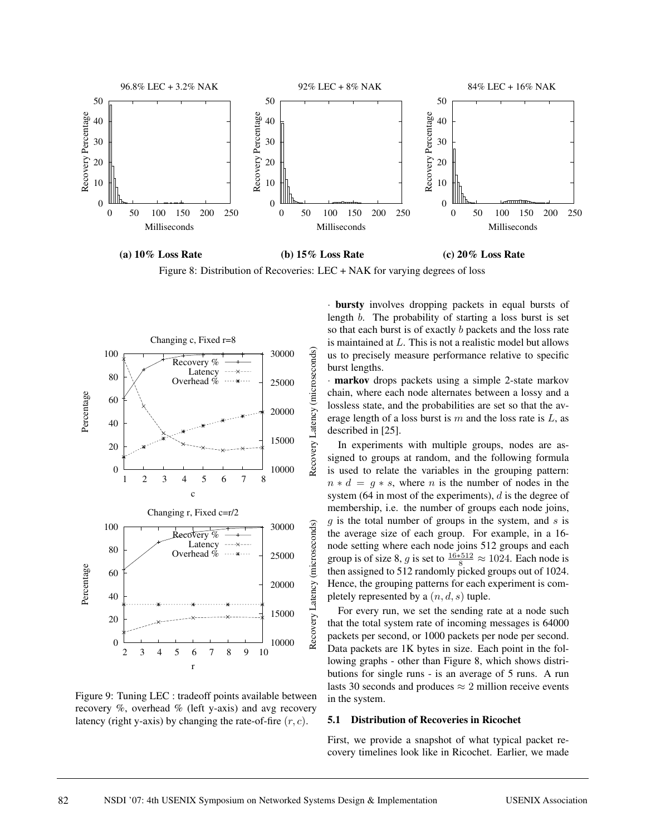

**(a) 10% Loss Rate (b) 15% Loss Rate (c) 20% Loss Rate**

Figure 8: Distribution of Recoveries: LEC + NAK for varying degrees of loss



Figure 9: Tuning LEC : tradeoff points available between recovery %, overhead % (left y-axis) and avg recovery latency (right y-axis) by changing the rate-of-fire  $(r, c)$ .

· **bursty** involves dropping packets in equal bursts of length b. The probability of starting a loss burst is set so that each burst is of exactly b packets and the loss rate is maintained at L. This is not a realistic model but allows us to precisely measure performance relative to specific burst lengths.

· **markov** drops packets using a simple 2-state markov chain, where each node alternates between a lossy and a lossless state, and the probabilities are set so that the average length of a loss burst is  $m$  and the loss rate is  $L$ , as described in [25].

In experiments with multiple groups, nodes are assigned to groups at random, and the following formula is used to relate the variables in the grouping pattern:  $n * d = q * s$ , where *n* is the number of nodes in the system (64 in most of the experiments),  $d$  is the degree of membership, i.e. the number of groups each node joins,  $g$  is the total number of groups in the system, and  $s$  is the average size of each group. For example, in a 16 node setting where each node joins 512 groups and each group is of size 8, g is set to  $\frac{16*512}{8} \approx 1024$ . Each node is then assigned to 512 randomly picked groups out of 1024. Hence, the grouping patterns for each experiment is completely represented by a  $(n, d, s)$  tuple.

For every run, we set the sending rate at a node such that the total system rate of incoming messages is 64000 packets per second, or 1000 packets per node per second. Data packets are 1K bytes in size. Each point in the following graphs - other than Figure 8, which shows distributions for single runs - is an average of 5 runs. A run lasts 30 seconds and produces  $\approx$  2 million receive events in the system.

#### **5.1 Distribution of Recoveries in Ricochet**

First, we provide a snapshot of what typical packet recovery timelines look like in Ricochet. Earlier, we made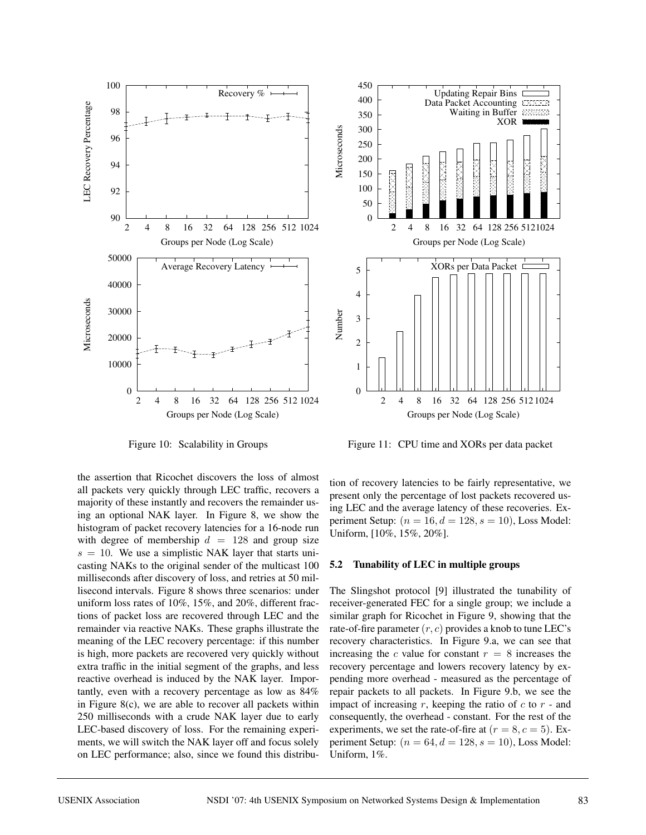

Figure 10: Scalability in Groups

the assertion that Ricochet discovers the loss of almost all packets very quickly through LEC traffic, recovers a majority of these instantly and recovers the remainder using an optional NAK layer. In Figure 8, we show the histogram of packet recovery latencies for a 16-node run with degree of membership  $d = 128$  and group size  $s = 10$ . We use a simplistic NAK layer that starts unicasting NAKs to the original sender of the multicast 100 milliseconds after discovery of loss, and retries at 50 millisecond intervals. Figure 8 shows three scenarios: under uniform loss rates of 10%, 15%, and 20%, different fractions of packet loss are recovered through LEC and the remainder via reactive NAKs. These graphs illustrate the meaning of the LEC recovery percentage: if this number is high, more packets are recovered very quickly without extra traffic in the initial segment of the graphs, and less reactive overhead is induced by the NAK layer. Importantly, even with a recovery percentage as low as 84% in Figure 8(c), we are able to recover all packets within 250 milliseconds with a crude NAK layer due to early LEC-based discovery of loss. For the remaining experiments, we will switch the NAK layer off and focus solely on LEC performance; also, since we found this distribu-



Figure 11: CPU time and XORs per data packet

tion of recovery latencies to be fairly representative, we present only the percentage of lost packets recovered using LEC and the average latency of these recoveries. Experiment Setup:  $(n = 16, d = 128, s = 10)$ , Loss Model: Uniform, [10%, 15%, 20%].

#### **5.2 Tunability of LEC in multiple groups**

The Slingshot protocol [9] illustrated the tunability of receiver-generated FEC for a single group; we include a similar graph for Ricochet in Figure 9, showing that the rate-of-fire parameter  $(r, c)$  provides a knob to tune LEC's recovery characteristics. In Figure 9.a, we can see that increasing the c value for constant  $r = 8$  increases the recovery percentage and lowers recovery latency by expending more overhead - measured as the percentage of repair packets to all packets. In Figure 9.b, we see the impact of increasing r, keeping the ratio of  $c$  to  $r$  - and consequently, the overhead - constant. For the rest of the experiments, we set the rate-of-fire at  $(r = 8, c = 5)$ . Experiment Setup:  $(n = 64, d = 128, s = 10)$ , Loss Model: Uniform, 1%.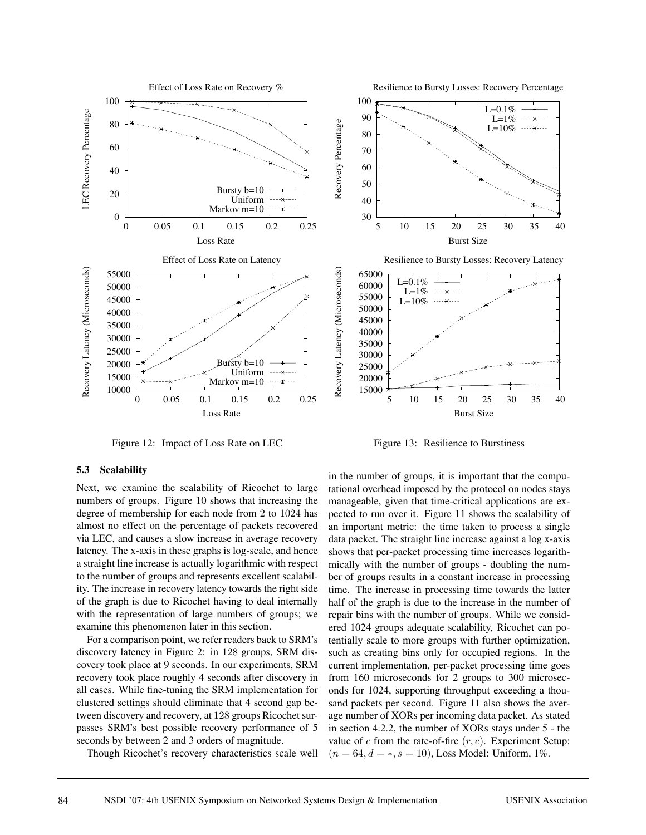

Figure 12: Impact of Loss Rate on LEC

#### **5.3 Scalability**

Next, we examine the scalability of Ricochet to large numbers of groups. Figure 10 shows that increasing the degree of membership for each node from 2 to 1024 has almost no effect on the percentage of packets recovered via LEC, and causes a slow increase in average recovery latency. The x-axis in these graphs is log-scale, and hence a straight line increase is actually logarithmic with respect to the number of groups and represents excellent scalability. The increase in recovery latency towards the right side of the graph is due to Ricochet having to deal internally with the representation of large numbers of groups; we examine this phenomenon later in this section.

For a comparison point, we refer readers back to SRM's discovery latency in Figure 2: in 128 groups, SRM discovery took place at 9 seconds. In our experiments, SRM recovery took place roughly 4 seconds after discovery in all cases. While fine-tuning the SRM implementation for clustered settings should eliminate that 4 second gap between discovery and recovery, at 128 groups Ricochet surpasses SRM's best possible recovery performance of 5 seconds by between 2 and 3 orders of magnitude.

Though Ricochet's recovery characteristics scale well



Resilience to Bursty Losses: Recovery Percentage

Figure 13: Resilience to Burstiness

in the number of groups, it is important that the computational overhead imposed by the protocol on nodes stays manageable, given that time-critical applications are expected to run over it. Figure 11 shows the scalability of an important metric: the time taken to process a single data packet. The straight line increase against a log x-axis shows that per-packet processing time increases logarithmically with the number of groups - doubling the number of groups results in a constant increase in processing time. The increase in processing time towards the latter half of the graph is due to the increase in the number of repair bins with the number of groups. While we considered 1024 groups adequate scalability, Ricochet can potentially scale to more groups with further optimization, such as creating bins only for occupied regions. In the current implementation, per-packet processing time goes from 160 microseconds for 2 groups to 300 microseconds for 1024, supporting throughput exceeding a thousand packets per second. Figure 11 also shows the average number of XORs per incoming data packet. As stated in section 4.2.2, the number of XORs stays under 5 - the value of  $c$  from the rate-of-fire  $(r, c)$ . Experiment Setup:  $(n = 64, d = *, s = 10)$ , Loss Model: Uniform, 1%.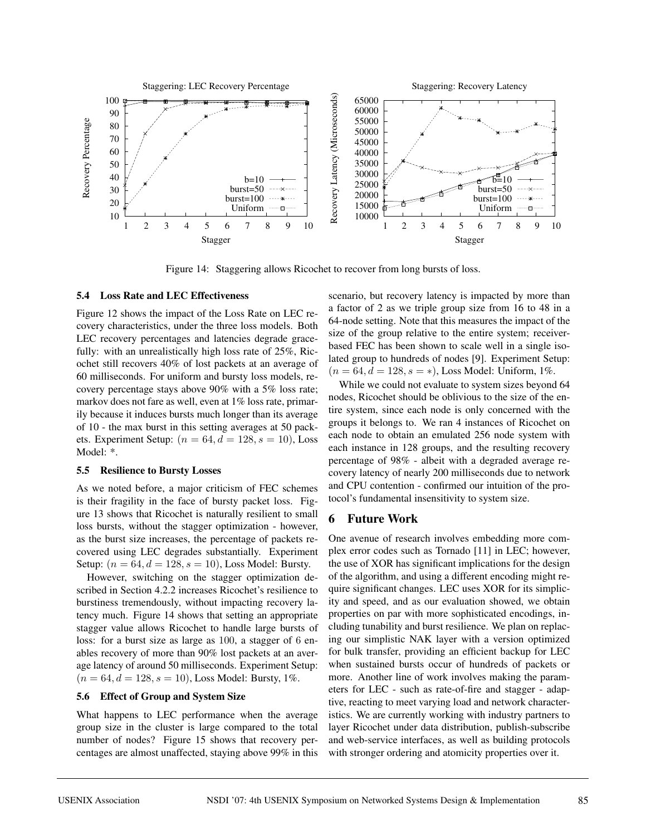

Figure 14: Staggering allows Ricochet to recover from long bursts of loss.

### **5.4 Loss Rate and LEC Effectiveness**

Figure 12 shows the impact of the Loss Rate on LEC recovery characteristics, under the three loss models. Both LEC recovery percentages and latencies degrade gracefully: with an unrealistically high loss rate of 25%, Ricochet still recovers 40% of lost packets at an average of 60 milliseconds. For uniform and bursty loss models, recovery percentage stays above 90% with a 5% loss rate; markov does not fare as well, even at 1% loss rate, primarily because it induces bursts much longer than its average of 10 - the max burst in this setting averages at 50 packets. Experiment Setup:  $(n = 64, d = 128, s = 10)$ , Loss Model: \*.

#### **5.5 Resilience to Bursty Losses**

As we noted before, a major criticism of FEC schemes is their fragility in the face of bursty packet loss. Figure 13 shows that Ricochet is naturally resilient to small loss bursts, without the stagger optimization - however, as the burst size increases, the percentage of packets recovered using LEC degrades substantially. Experiment Setup:  $(n = 64, d = 128, s = 10)$ , Loss Model: Bursty.

However, switching on the stagger optimization described in Section 4.2.2 increases Ricochet's resilience to burstiness tremendously, without impacting recovery latency much. Figure 14 shows that setting an appropriate stagger value allows Ricochet to handle large bursts of loss: for a burst size as large as 100, a stagger of 6 enables recovery of more than 90% lost packets at an average latency of around 50 milliseconds. Experiment Setup:  $(n = 64, d = 128, s = 10)$ , Loss Model: Bursty, 1%.

# **5.6 Effect of Group and System Size**

What happens to LEC performance when the average group size in the cluster is large compared to the total number of nodes? Figure 15 shows that recovery percentages are almost unaffected, staying above 99% in this scenario, but recovery latency is impacted by more than a factor of 2 as we triple group size from 16 to 48 in a 64-node setting. Note that this measures the impact of the size of the group relative to the entire system; receiverbased FEC has been shown to scale well in a single isolated group to hundreds of nodes [9]. Experiment Setup:  $(n = 64, d = 128, s = *)$ , Loss Model: Uniform, 1%.

While we could not evaluate to system sizes beyond 64 nodes, Ricochet should be oblivious to the size of the entire system, since each node is only concerned with the groups it belongs to. We ran 4 instances of Ricochet on each node to obtain an emulated 256 node system with each instance in 128 groups, and the resulting recovery percentage of 98% - albeit with a degraded average recovery latency of nearly 200 milliseconds due to network and CPU contention - confirmed our intuition of the protocol's fundamental insensitivity to system size.

### **6 Future Work**

One avenue of research involves embedding more complex error codes such as Tornado [11] in LEC; however, the use of XOR has significant implications for the design of the algorithm, and using a different encoding might require significant changes. LEC uses XOR for its simplicity and speed, and as our evaluation showed, we obtain properties on par with more sophisticated encodings, including tunability and burst resilience. We plan on replacing our simplistic NAK layer with a version optimized for bulk transfer, providing an efficient backup for LEC when sustained bursts occur of hundreds of packets or more. Another line of work involves making the parameters for LEC - such as rate-of-fire and stagger - adaptive, reacting to meet varying load and network characteristics. We are currently working with industry partners to layer Ricochet under data distribution, publish-subscribe and web-service interfaces, as well as building protocols with stronger ordering and atomicity properties over it.